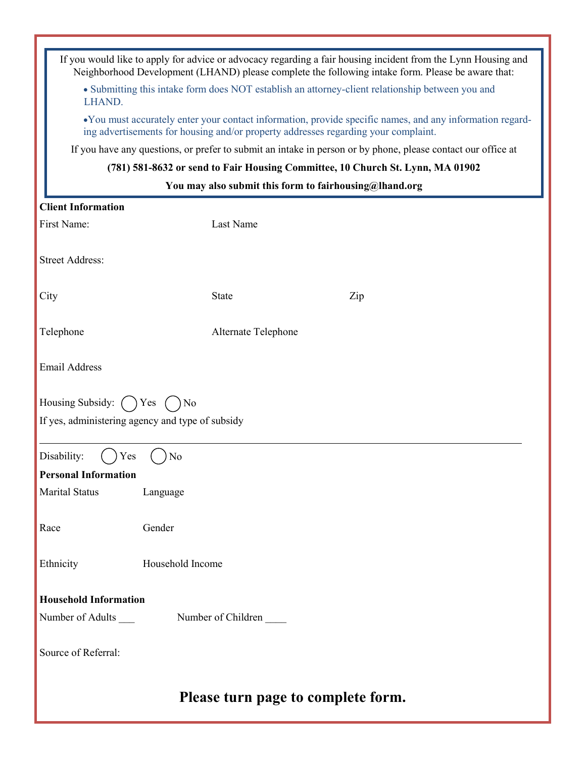| If you would like to apply for advice or advocacy regarding a fair housing incident from the Lynn Housing and<br>Neighborhood Development (LHAND) please complete the following intake form. Please be aware that: |                     |     |
|--------------------------------------------------------------------------------------------------------------------------------------------------------------------------------------------------------------------|---------------------|-----|
| • Submitting this intake form does NOT establish an attorney-client relationship between you and<br>LHAND.                                                                                                         |                     |     |
| •You must accurately enter your contact information, provide specific names, and any information regard-<br>ing advertisements for housing and/or property addresses regarding your complaint.                     |                     |     |
| If you have any questions, or prefer to submit an intake in person or by phone, please contact our office at                                                                                                       |                     |     |
| (781) 581-8632 or send to Fair Housing Committee, 10 Church St. Lynn, MA 01902                                                                                                                                     |                     |     |
| You may also submit this form to fairhousing@lhand.org                                                                                                                                                             |                     |     |
| <b>Client Information</b>                                                                                                                                                                                          |                     |     |
| First Name:                                                                                                                                                                                                        | Last Name           |     |
| <b>Street Address:</b>                                                                                                                                                                                             |                     |     |
| City                                                                                                                                                                                                               | <b>State</b>        | Zip |
| Telephone                                                                                                                                                                                                          | Alternate Telephone |     |
| <b>Email Address</b>                                                                                                                                                                                               |                     |     |
| Housing Subsidy: ()<br>) No<br>Yes                                                                                                                                                                                 |                     |     |
| If yes, administering agency and type of subsidy                                                                                                                                                                   |                     |     |
| Disability:<br>No<br>Yes                                                                                                                                                                                           |                     |     |
| <b>Personal Information</b>                                                                                                                                                                                        |                     |     |
| <b>Marital Status</b>                                                                                                                                                                                              | Language            |     |
| Race                                                                                                                                                                                                               | Gender              |     |
| Ethnicity                                                                                                                                                                                                          | Household Income    |     |
| <b>Household Information</b>                                                                                                                                                                                       |                     |     |
| Number of Adults<br>Number of Children                                                                                                                                                                             |                     |     |
| Source of Referral:                                                                                                                                                                                                |                     |     |
| Please turn page to complete form.                                                                                                                                                                                 |                     |     |